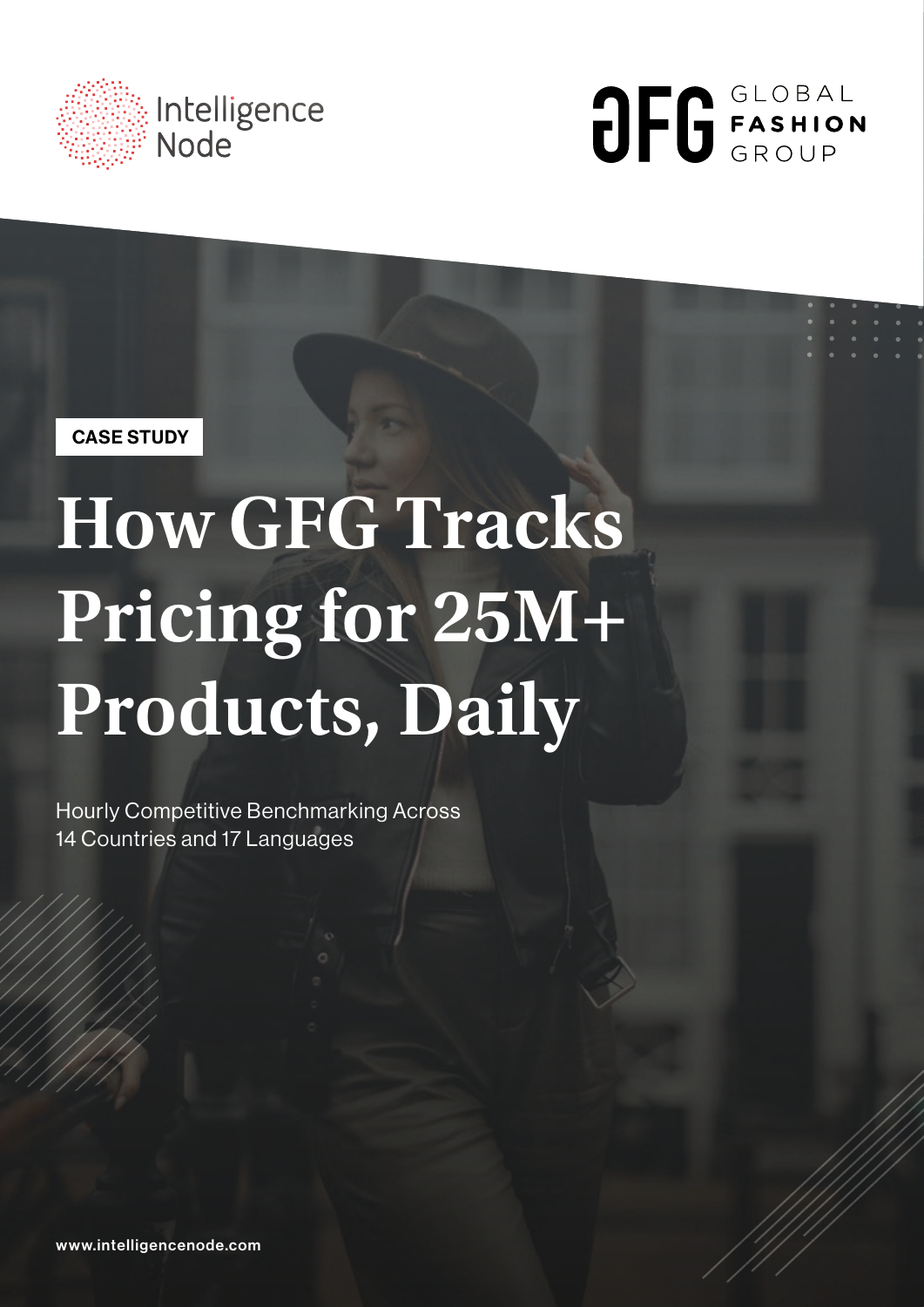



CASE STUDY

# **How GFG Tracks Pricing for 25M+ Products, Daily**

Hourly Competitive Benchmarking Across 14 Countries and 17 Languages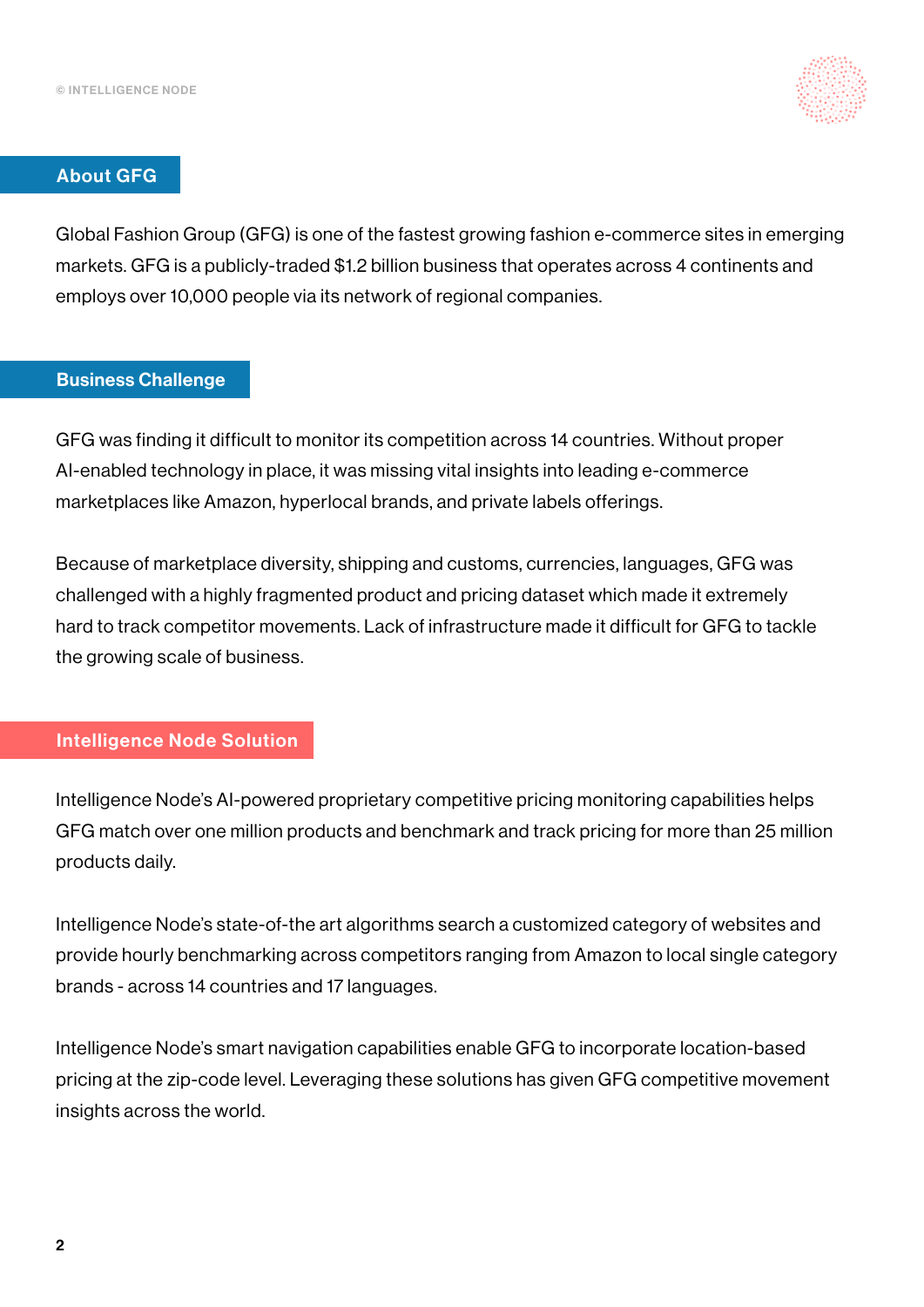

#### About GFG

Global Fashion Group (GFG) is one of the fastest growing fashion e-commerce sites in emerging markets. GFG is a publicly-traded \$1.2 billion business that operates across 4 continents and employs over 10,000 people via its network of regional companies.

#### Business Challenge

GFG was finding it difficult to monitor its competition across 14 countries. Without proper AI-enabled technology in place, it was missing vital insights into leading e-commerce marketplaces like Amazon, hyperlocal brands, and private labels offerings.

Because of marketplace diversity, shipping and customs, currencies, languages, GFG was challenged with a highly fragmented product and pricing dataset which made it extremely hard to track competitor movements. Lack of infrastructure made it difficult for GFG to tackle the growing scale of business.

#### Intelligence Node Solution

Intelligence Node's AI-powered proprietary competitive pricing monitoring capabilities helps GFG match over one million products and benchmark and track pricing for more than 25 million products daily.

Intelligence Node's state-of-the art algorithms search a customized category of websites and provide hourly benchmarking across competitors ranging from Amazon to local single category brands - across 14 countries and 17 languages.

Intelligence Node's smart navigation capabilities enable GFG to incorporate location-based pricing at the zip-code level. Leveraging these solutions has given GFG competitive movement insights across the world.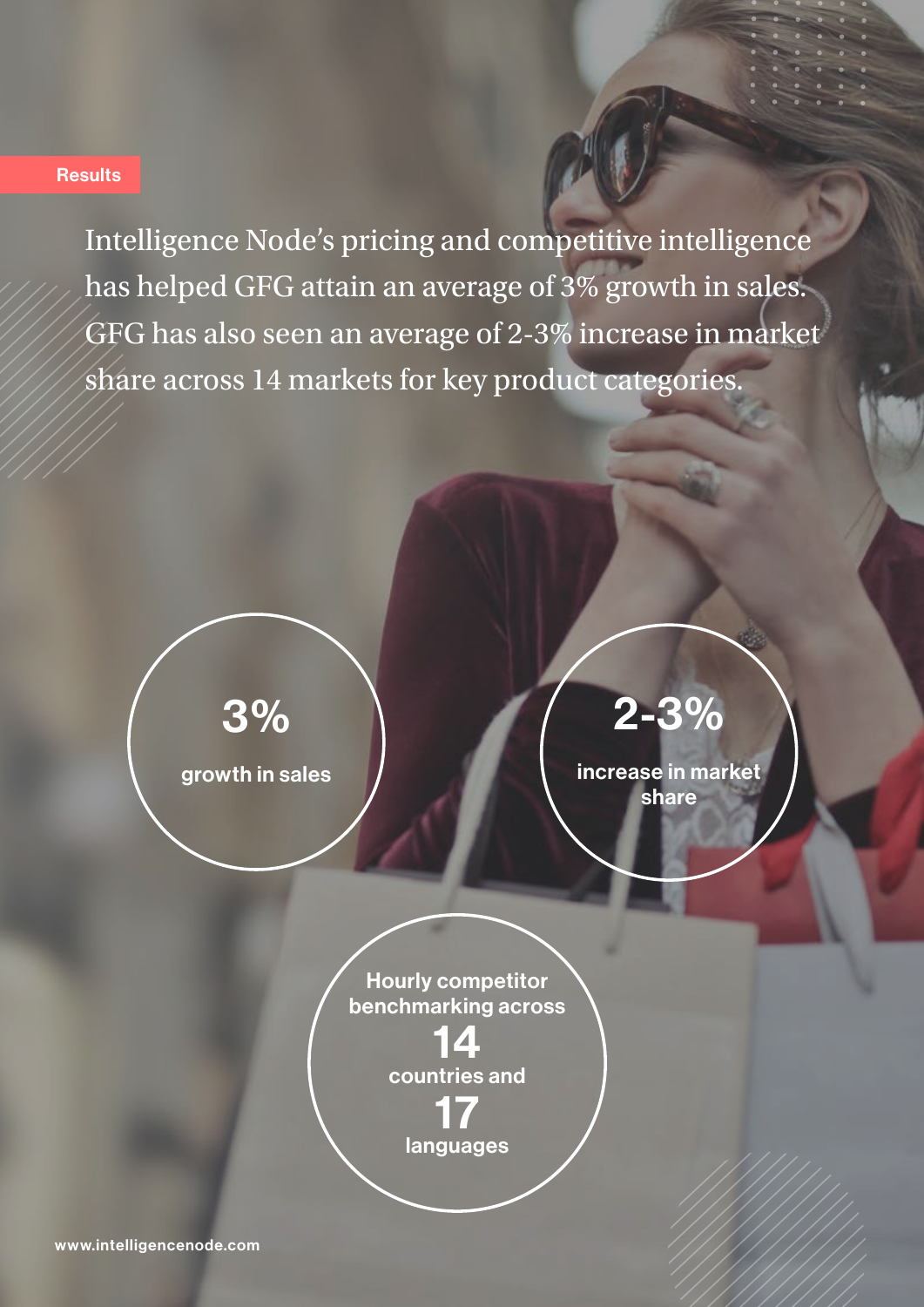#### **Results**

Intelligence Node's pricing and competitive intelligence has helped GFG attain an average of 3% growth in sales. GFG has also seen an average of 2-3% increase in market share across 14 markets for key product categories.



growth in sales

### 2-3%

increase in market share



14 countries and 17 languages